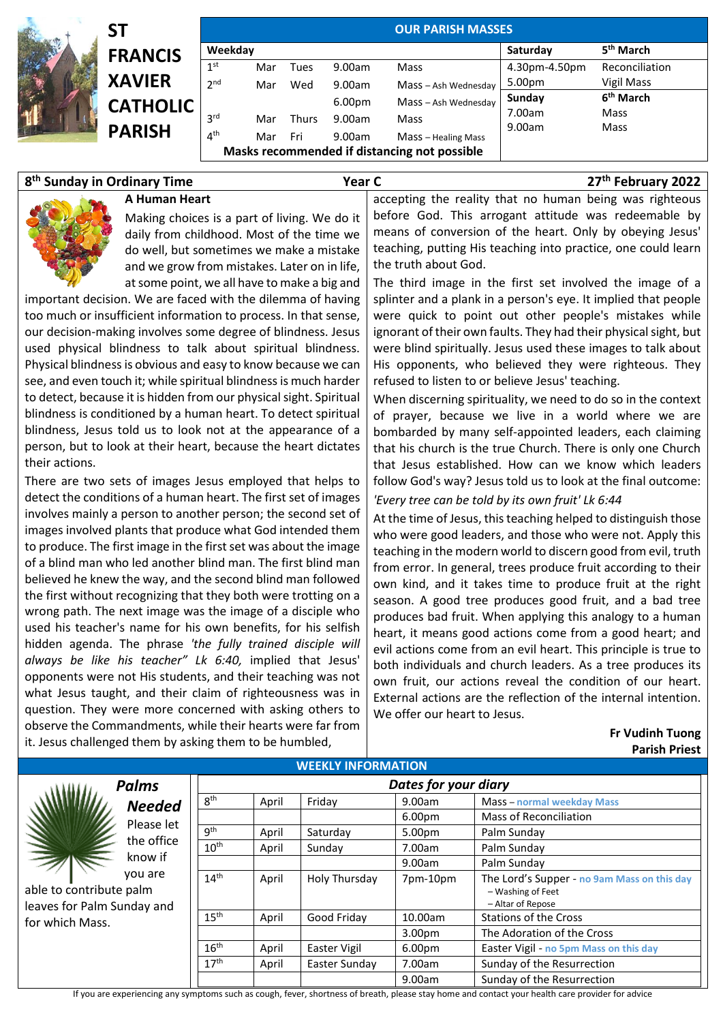| ST              |                 |     |              |                                              | <b>OUR PARISH MASSES</b> |                       |                       |
|-----------------|-----------------|-----|--------------|----------------------------------------------|--------------------------|-----------------------|-----------------------|
| <b>FRANCIS</b>  | Weekday         |     |              |                                              | Saturday                 | 5 <sup>th</sup> March |                       |
|                 | 1 <sup>st</sup> | Mar | Tues         | 9.00am                                       | Mass                     | 4.30pm-4.50pm         | Reconciliation        |
| <b>XAVIER</b>   | 2 <sup>nd</sup> | Mar | Wed          | 9.00am                                       | Mass - Ash Wednesday     | 5.00pm                | Vigil Mass            |
| <b>CATHOLIC</b> |                 |     |              | 6.00 <sub>pm</sub>                           | Mass - Ash Wednesday     | Sunday                | 6 <sup>th</sup> March |
|                 | 3 <sup>rd</sup> | Mar | <b>Thurs</b> | 9.00am                                       | Mass                     | 7.00am                | Mass                  |
| <b>PARISH</b>   | 4 <sup>th</sup> | Mar | Fri          | 9.00am                                       | Mass - Healing Mass      | 9.00am                | Mass                  |
|                 |                 |     |              | Masks recommended if distancing not possible |                          |                       |                       |

## **8 th Sunday in Ordinary Time Year C 27**

**th February 2022**

**A Human Heart** Making choices is a part of living. We do it daily from childhood. Most of the time we do well, but sometimes we make a mistake and we grow from mistakes. Later on in life, at some point, we all have to make a big and

important decision. We are faced with the dilemma of having too much or insufficient information to process. In that sense, our decision-making involves some degree of blindness. Jesus used physical blindness to talk about spiritual blindness. Physical blindness is obvious and easy to know because we can see, and even touch it; while spiritual blindness is much harder to detect, because it is hidden from our physical sight. Spiritual blindness is conditioned by a human heart. To detect spiritual blindness, Jesus told us to look not at the appearance of a person, but to look at their heart, because the heart dictates their actions.

There are two sets of images Jesus employed that helps to detect the conditions of a human heart. The first set of images involves mainly a person to another person; the second set of images involved plants that produce what God intended them to produce. The first image in the first set was about the image of a blind man who led another blind man. The first blind man believed he knew the way, and the second blind man followed the first without recognizing that they both were trotting on a wrong path. The next image was the image of a disciple who used his teacher's name for his own benefits, for his selfish hidden agenda. The phrase *'the fully trained disciple will always be like his teacher" Lk 6:40,* implied that Jesus' opponents were not His students, and their teaching was not what Jesus taught, and their claim of righteousness was in question. They were more concerned with asking others to observe the Commandments, while their hearts were far from it. Jesus challenged them by asking them to be humbled,

accepting the reality that no human being was righteous before God. This arrogant attitude was redeemable by means of conversion of the heart. Only by obeying Jesus' teaching, putting His teaching into practice, one could learn the truth about God.

The third image in the first set involved the image of a splinter and a plank in a person's eye. It implied that people were quick to point out other people's mistakes while ignorant of their own faults. They had their physical sight, but were blind spiritually. Jesus used these images to talk about His opponents, who believed they were righteous. They refused to listen to or believe Jesus' teaching.

When discerning spirituality, we need to do so in the context of prayer, because we live in a world where we are bombarded by many self-appointed leaders, each claiming that his church is the true Church. There is only one Church that Jesus established. How can we know which leaders follow God's way? Jesus told us to look at the final outcome:

*'Every tree can be told by its own fruit' Lk 6:44*

At the time of Jesus, this teaching helped to distinguish those who were good leaders, and those who were not. Apply this teaching in the modern world to discern good from evil, truth from error. In general, trees produce fruit according to their own kind, and it takes time to produce fruit at the right season. A good tree produces good fruit, and a bad tree produces bad fruit. When applying this analogy to a human heart, it means good actions come from a good heart; and evil actions come from an evil heart. This principle is true to both individuals and church leaders. As a tree produces its own fruit, our actions reveal the condition of our heart. External actions are the reflection of the internal intention. We offer our heart to Jesus.

> **Fr Vudinh Tuong Parish Priest**

| <b>WEEKLY INFORMATION</b>                                                           |                       |                      |                                          |               |                              |                                                                                                                                                   |  |  |
|-------------------------------------------------------------------------------------|-----------------------|----------------------|------------------------------------------|---------------|------------------------------|---------------------------------------------------------------------------------------------------------------------------------------------------|--|--|
|                                                                                     | <b>Palms</b>          | Dates for your diary |                                          |               |                              |                                                                                                                                                   |  |  |
|                                                                                     | <b>Needed</b>         | 8 <sup>th</sup>      | April                                    | Friday        | 9.00am                       | <b>Mass - normal weekday Mass</b>                                                                                                                 |  |  |
|                                                                                     | Please let            |                      |                                          |               | 6.00pm                       | Mass of Reconciliation                                                                                                                            |  |  |
|                                                                                     | the office<br>know if | gth                  | April                                    | Saturday      | 5.00pm                       | Palm Sunday                                                                                                                                       |  |  |
|                                                                                     |                       | $10^{\text{th}}$     | Sunday<br>7.00am<br>Palm Sunday<br>April |               |                              |                                                                                                                                                   |  |  |
|                                                                                     |                       |                      |                                          |               | 9.00am                       | Palm Sunday                                                                                                                                       |  |  |
| you are<br>able to contribute palm<br>leaves for Palm Sunday and<br>for which Mass. |                       | 14 <sup>th</sup>     | April                                    | Holy Thursday | 7pm-10pm                     | The Lord's Supper - no 9am Mass on this day<br>- Washing of Feet<br>- Altar of Repose                                                             |  |  |
|                                                                                     |                       | 15 <sup>th</sup>     | Good Friday<br>10.00am<br>April          |               | <b>Stations of the Cross</b> |                                                                                                                                                   |  |  |
|                                                                                     |                       |                      |                                          |               | 3.00 <sub>pm</sub>           | The Adoration of the Cross                                                                                                                        |  |  |
|                                                                                     |                       | 16 <sup>th</sup>     | April                                    | Easter Vigil  | 6.00pm                       | Easter Vigil - no 5pm Mass on this day                                                                                                            |  |  |
|                                                                                     |                       | 17 <sup>th</sup>     | April                                    | Easter Sunday | 7.00am                       | Sunday of the Resurrection                                                                                                                        |  |  |
|                                                                                     |                       |                      |                                          | 9.00am        | Sunday of the Resurrection   |                                                                                                                                                   |  |  |
|                                                                                     |                       |                      |                                          |               |                              | If you are experiencing any symptoms such as cough, fever, shortness of breath, please stay home and contact your health care provider for advice |  |  |